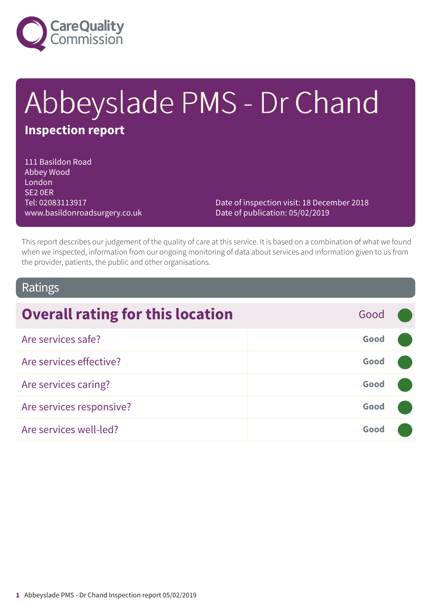

# Abbeyslade PMS - Dr Chand **Inspection report**

111 Basildon Road Abbey Wood London SE2 0ER Tel: 02083113917 www.basildonroadsurgery.co.uk

Date of inspection visit: 18 December 2018 Date of publication: 05/02/2019

This report describes our judgement of the quality of care at this service. It is based on a combination of what we found when we inspected, information from our ongoing monitoring of data about services and information given to us from the provider, patients, the public and other organisations.

### Ratings

| <b>Overall rating for this location</b> | Good |  |
|-----------------------------------------|------|--|
| Are services safe?                      | Good |  |
| Are services effective?                 | Good |  |
| Are services caring?                    | Good |  |
| Are services responsive?                | Good |  |
| Are services well-led?                  | Good |  |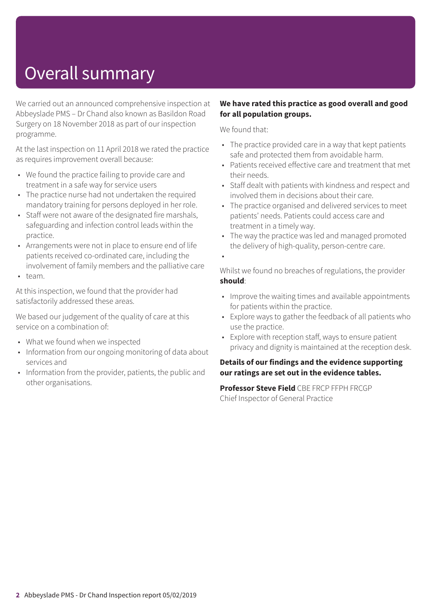## Overall summary

We carried out an announced comprehensive inspection at Abbeyslade PMS – Dr Chand also known as Basildon Road Surgery on 18 November 2018 as part of our inspection programme.

At the last inspection on 11 April 2018 we rated the practice as requires improvement overall because:

- We found the practice failing to provide care and treatment in a safe way for service users
- The practice nurse had not undertaken the required mandatory training for persons deployed in her role.
- Staff were not aware of the designated fire marshals, safeguarding and infection control leads within the practice.
- Arrangements were not in place to ensure end of life patients received co-ordinated care, including the involvement of family members and the palliative care
- team.

At this inspection, we found that the provider had satisfactorily addressed these areas.

We based our judgement of the quality of care at this service on a combination of:

- What we found when we inspected
- Information from our ongoing monitoring of data about services and
- Information from the provider, patients, the public and other organisations.

#### **We have rated this practice as good overall and good for all population groups.**

We found that:

- The practice provided care in a way that kept patients safe and protected them from avoidable harm.
- Patients received effective care and treatment that met their needs.
- Staff dealt with patients with kindness and respect and involved them in decisions about their care.
- The practice organised and delivered services to meet patients' needs. Patients could access care and treatment in a timely way.
- The way the practice was led and managed promoted the delivery of high-quality, person-centre care.

•

Whilst we found no breaches of regulations, the provider **should**:

- Improve the waiting times and available appointments for patients within the practice.
- Explore ways to gather the feedback of all patients who use the practice.
- Explore with reception staff, ways to ensure patient privacy and dignity is maintained at the reception desk.

#### **Details of our findings and the evidence supporting our ratings are set out in the evidence tables.**

**Professor Steve Field** CBE FRCP FFPH FRCGP Chief Inspector of General Practice